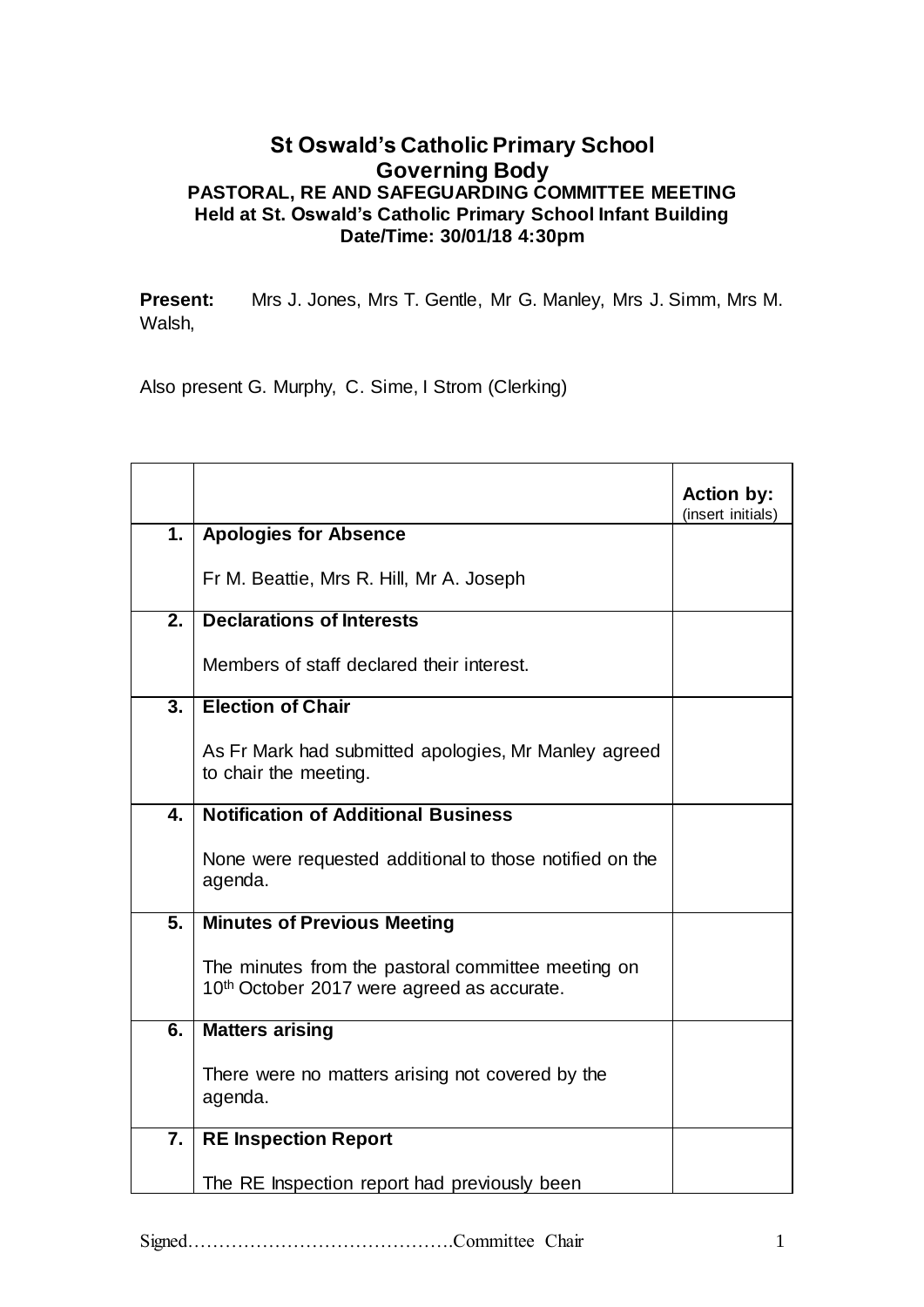## **St Oswald's Catholic Primary School Governing Body PASTORAL, RE AND SAFEGUARDING COMMITTEE MEETING Held at St. Oswald's Catholic Primary School Infant Building Date/Time: 30/01/18 4:30pm**

**Present:** Mrs J. Jones, Mrs T. Gentle, Mr G. Manley, Mrs J. Simm, Mrs M. Walsh,

Also present G. Murphy, C. Sime, I Strom (Clerking)

|                  |                                                                                                              | <b>Action by:</b><br>(insert initials) |
|------------------|--------------------------------------------------------------------------------------------------------------|----------------------------------------|
| 1.               | <b>Apologies for Absence</b>                                                                                 |                                        |
|                  | Fr M. Beattie, Mrs R. Hill, Mr A. Joseph                                                                     |                                        |
| $\overline{2}$ . | <b>Declarations of Interests</b>                                                                             |                                        |
|                  | Members of staff declared their interest.                                                                    |                                        |
| $\overline{3}$ . | <b>Election of Chair</b>                                                                                     |                                        |
|                  | As Fr Mark had submitted apologies, Mr Manley agreed<br>to chair the meeting.                                |                                        |
| 4.               | <b>Notification of Additional Business</b>                                                                   |                                        |
|                  | None were requested additional to those notified on the<br>agenda.                                           |                                        |
| 5.               | <b>Minutes of Previous Meeting</b>                                                                           |                                        |
|                  | The minutes from the pastoral committee meeting on<br>10 <sup>th</sup> October 2017 were agreed as accurate. |                                        |
| 6.               | <b>Matters arising</b>                                                                                       |                                        |
|                  | There were no matters arising not covered by the<br>agenda.                                                  |                                        |
| 7.               | <b>RE Inspection Report</b>                                                                                  |                                        |
|                  | The RE Inspection report had previously been                                                                 |                                        |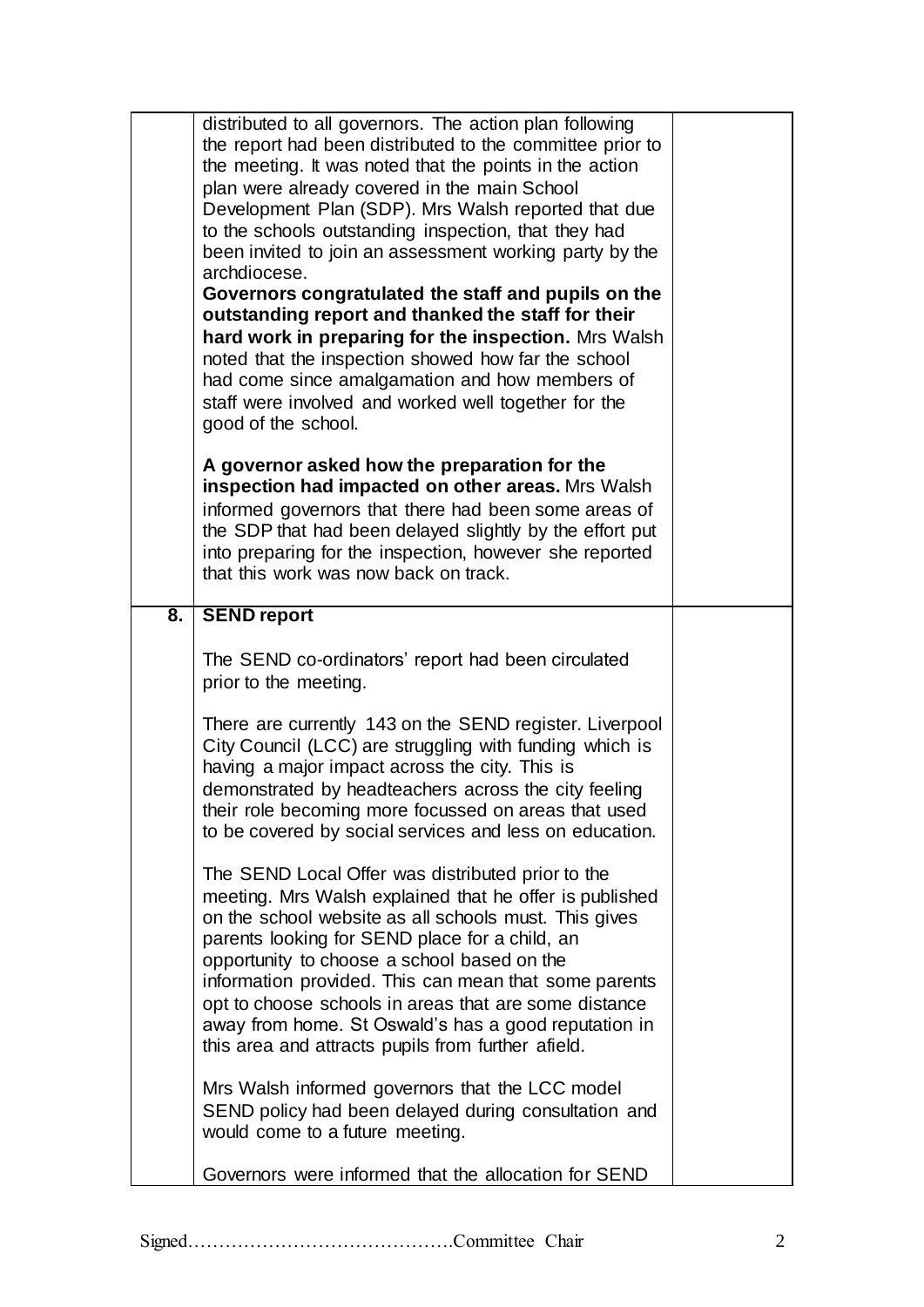|    | distributed to all governors. The action plan following<br>the report had been distributed to the committee prior to<br>the meeting. It was noted that the points in the action<br>plan were already covered in the main School<br>Development Plan (SDP). Mrs Walsh reported that due<br>to the schools outstanding inspection, that they had<br>been invited to join an assessment working party by the<br>archdiocese.<br>Governors congratulated the staff and pupils on the<br>outstanding report and thanked the staff for their<br>hard work in preparing for the inspection. Mrs Walsh<br>noted that the inspection showed how far the school<br>had come since amalgamation and how members of<br>staff were involved and worked well together for the<br>good of the school. |  |
|----|----------------------------------------------------------------------------------------------------------------------------------------------------------------------------------------------------------------------------------------------------------------------------------------------------------------------------------------------------------------------------------------------------------------------------------------------------------------------------------------------------------------------------------------------------------------------------------------------------------------------------------------------------------------------------------------------------------------------------------------------------------------------------------------|--|
|    | A governor asked how the preparation for the<br>inspection had impacted on other areas. Mrs Walsh<br>informed governors that there had been some areas of<br>the SDP that had been delayed slightly by the effort put<br>into preparing for the inspection, however she reported<br>that this work was now back on track.                                                                                                                                                                                                                                                                                                                                                                                                                                                              |  |
| 8. | <b>SEND report</b>                                                                                                                                                                                                                                                                                                                                                                                                                                                                                                                                                                                                                                                                                                                                                                     |  |
|    | The SEND co-ordinators' report had been circulated<br>prior to the meeting.                                                                                                                                                                                                                                                                                                                                                                                                                                                                                                                                                                                                                                                                                                            |  |
|    | There are currently 143 on the SEND register. Liverpool<br>City Council (LCC) are struggling with funding which is<br>having a major impact across the city. This is<br>demonstrated by headteachers across the city feeling<br>their role becoming more focussed on areas that used<br>to be covered by social services and less on education.                                                                                                                                                                                                                                                                                                                                                                                                                                        |  |
|    | The SEND Local Offer was distributed prior to the<br>meeting. Mrs Walsh explained that he offer is published<br>on the school website as all schools must. This gives<br>parents looking for SEND place for a child, an<br>opportunity to choose a school based on the<br>information provided. This can mean that some parents<br>opt to choose schools in areas that are some distance<br>away from home. St Oswald's has a good reputation in<br>this area and attracts pupils from further afield.                                                                                                                                                                                                                                                                                 |  |
|    | Mrs Walsh informed governors that the LCC model<br>SEND policy had been delayed during consultation and<br>would come to a future meeting.                                                                                                                                                                                                                                                                                                                                                                                                                                                                                                                                                                                                                                             |  |
|    | Governors were informed that the allocation for SEND                                                                                                                                                                                                                                                                                                                                                                                                                                                                                                                                                                                                                                                                                                                                   |  |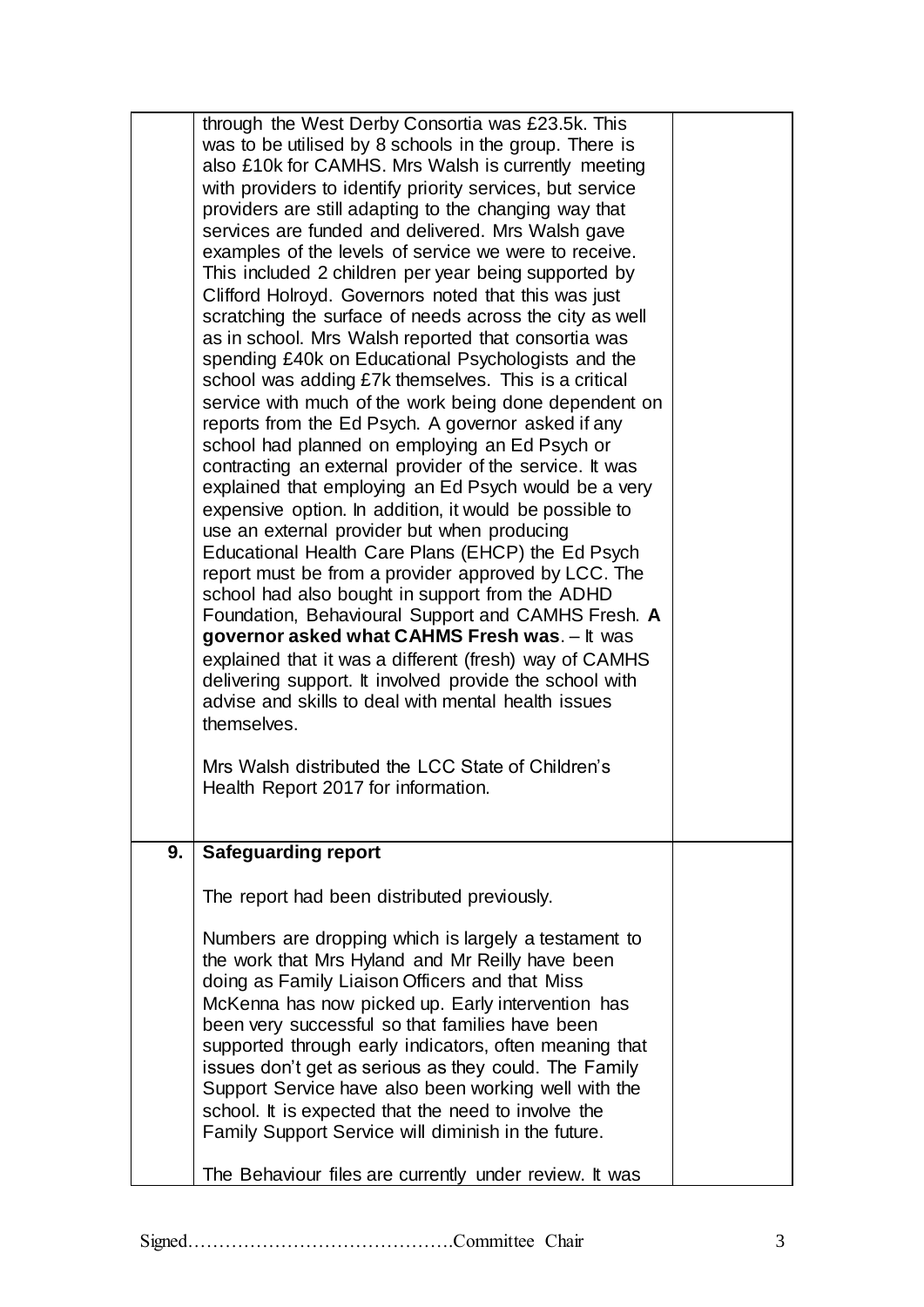|    | through the West Derby Consortia was £23.5k. This<br>was to be utilised by 8 schools in the group. There is<br>also £10k for CAMHS. Mrs Walsh is currently meeting<br>with providers to identify priority services, but service<br>providers are still adapting to the changing way that<br>services are funded and delivered. Mrs Walsh gave<br>examples of the levels of service we were to receive.<br>This included 2 children per year being supported by<br>Clifford Holroyd. Governors noted that this was just<br>scratching the surface of needs across the city as well<br>as in school. Mrs Walsh reported that consortia was<br>spending £40k on Educational Psychologists and the<br>school was adding £7k themselves. This is a critical<br>service with much of the work being done dependent on<br>reports from the Ed Psych. A governor asked if any<br>school had planned on employing an Ed Psych or<br>contracting an external provider of the service. It was<br>explained that employing an Ed Psych would be a very<br>expensive option. In addition, it would be possible to<br>use an external provider but when producing<br>Educational Health Care Plans (EHCP) the Ed Psych<br>report must be from a provider approved by LCC. The<br>school had also bought in support from the ADHD<br>Foundation, Behavioural Support and CAMHS Fresh. A<br>governor asked what CAHMS Fresh was. - It was<br>explained that it was a different (fresh) way of CAMHS<br>delivering support. It involved provide the school with<br>advise and skills to deal with mental health issues |  |
|----|-------------------------------------------------------------------------------------------------------------------------------------------------------------------------------------------------------------------------------------------------------------------------------------------------------------------------------------------------------------------------------------------------------------------------------------------------------------------------------------------------------------------------------------------------------------------------------------------------------------------------------------------------------------------------------------------------------------------------------------------------------------------------------------------------------------------------------------------------------------------------------------------------------------------------------------------------------------------------------------------------------------------------------------------------------------------------------------------------------------------------------------------------------------------------------------------------------------------------------------------------------------------------------------------------------------------------------------------------------------------------------------------------------------------------------------------------------------------------------------------------------------------------------------------------------------------------------------------------------|--|
|    | Mrs Walsh distributed the LCC State of Children's<br>Health Report 2017 for information.                                                                                                                                                                                                                                                                                                                                                                                                                                                                                                                                                                                                                                                                                                                                                                                                                                                                                                                                                                                                                                                                                                                                                                                                                                                                                                                                                                                                                                                                                                              |  |
| 9. | <b>Safeguarding report</b>                                                                                                                                                                                                                                                                                                                                                                                                                                                                                                                                                                                                                                                                                                                                                                                                                                                                                                                                                                                                                                                                                                                                                                                                                                                                                                                                                                                                                                                                                                                                                                            |  |
|    | The report had been distributed previously.                                                                                                                                                                                                                                                                                                                                                                                                                                                                                                                                                                                                                                                                                                                                                                                                                                                                                                                                                                                                                                                                                                                                                                                                                                                                                                                                                                                                                                                                                                                                                           |  |
|    | Numbers are dropping which is largely a testament to<br>the work that Mrs Hyland and Mr Reilly have been<br>doing as Family Liaison Officers and that Miss<br>McKenna has now picked up. Early intervention has<br>been very successful so that families have been<br>supported through early indicators, often meaning that<br>issues don't get as serious as they could. The Family<br>Support Service have also been working well with the<br>school. It is expected that the need to involve the<br>Family Support Service will diminish in the future.<br>The Behaviour files are currently under review. It was                                                                                                                                                                                                                                                                                                                                                                                                                                                                                                                                                                                                                                                                                                                                                                                                                                                                                                                                                                                 |  |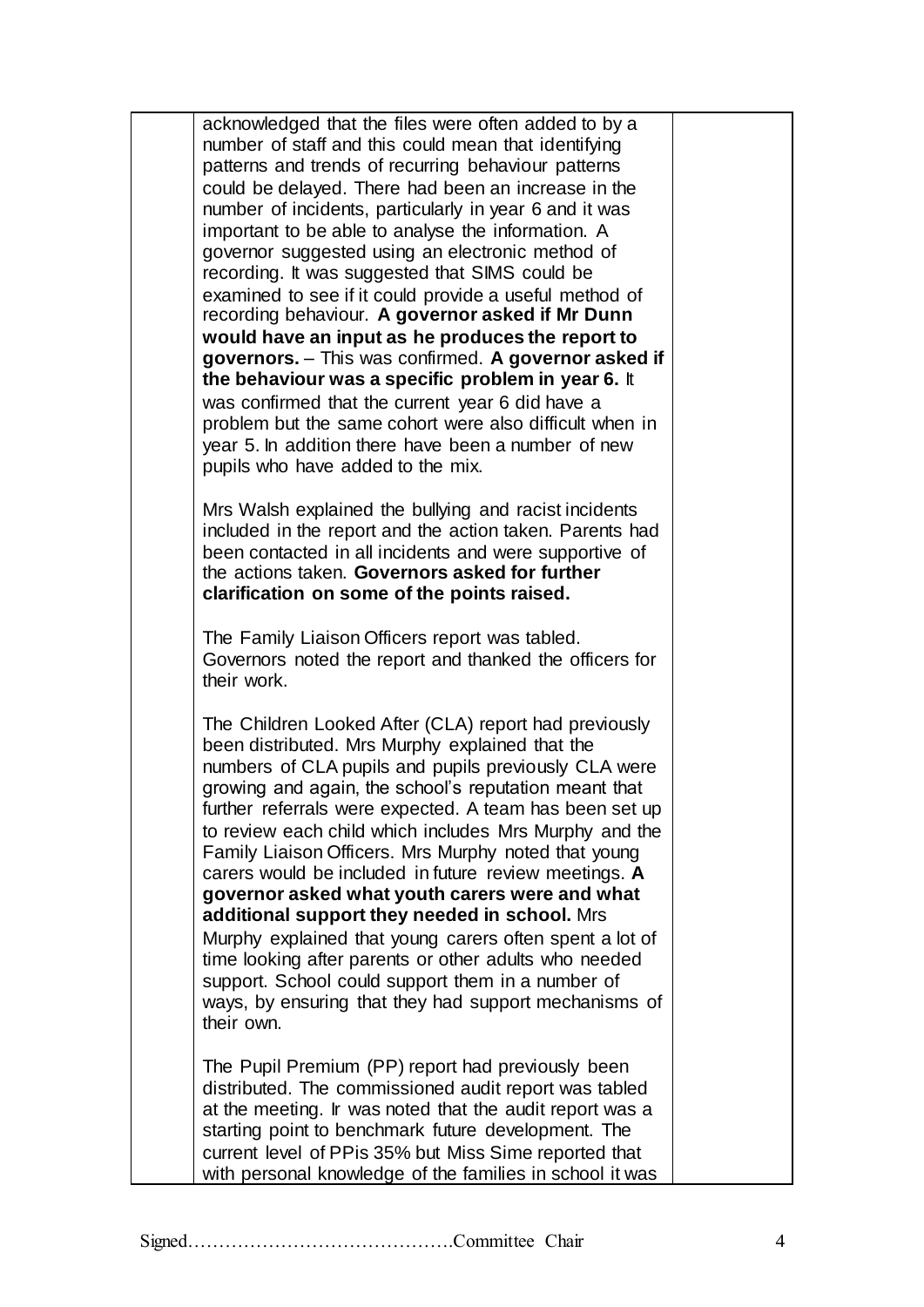acknowledged that the files were often added to by a number of staff and this could mean that identifying patterns and trends of recurring behaviour patterns could be delayed. There had been an increase in the number of incidents, particularly in year 6 and it was important to be able to analyse the information. A governor suggested using an electronic method of recording. It was suggested that SIMS could be examined to see if it could provide a useful method of recording behaviour. **A governor asked if Mr Dunn would have an input as he produces the report to governors.** – This was confirmed. **A governor asked if the behaviour was a specific problem in year 6.** It was confirmed that the current year 6 did have a problem but the same cohort were also difficult when in year 5. In addition there have been a number of new pupils who have added to the mix.

Mrs Walsh explained the bullying and racist incidents included in the report and the action taken. Parents had been contacted in all incidents and were supportive of the actions taken. **Governors asked for further clarification on some of the points raised.**

The Family Liaison Officers report was tabled. Governors noted the report and thanked the officers for their work.

The Children Looked After (CLA) report had previously been distributed. Mrs Murphy explained that the numbers of CLA pupils and pupils previously CLA were growing and again, the school's reputation meant that further referrals were expected. A team has been set up to review each child which includes Mrs Murphy and the Family Liaison Officers. Mrs Murphy noted that young carers would be included in future review meetings. **A governor asked what youth carers were and what additional support they needed in school.** Mrs Murphy explained that young carers often spent a lot of time looking after parents or other adults who needed support. School could support them in a number of ways, by ensuring that they had support mechanisms of their own.

The Pupil Premium (PP) report had previously been distributed. The commissioned audit report was tabled at the meeting. Ir was noted that the audit report was a starting point to benchmark future development. The current level of PPis 35% but Miss Sime reported that with personal knowledge of the families in school it was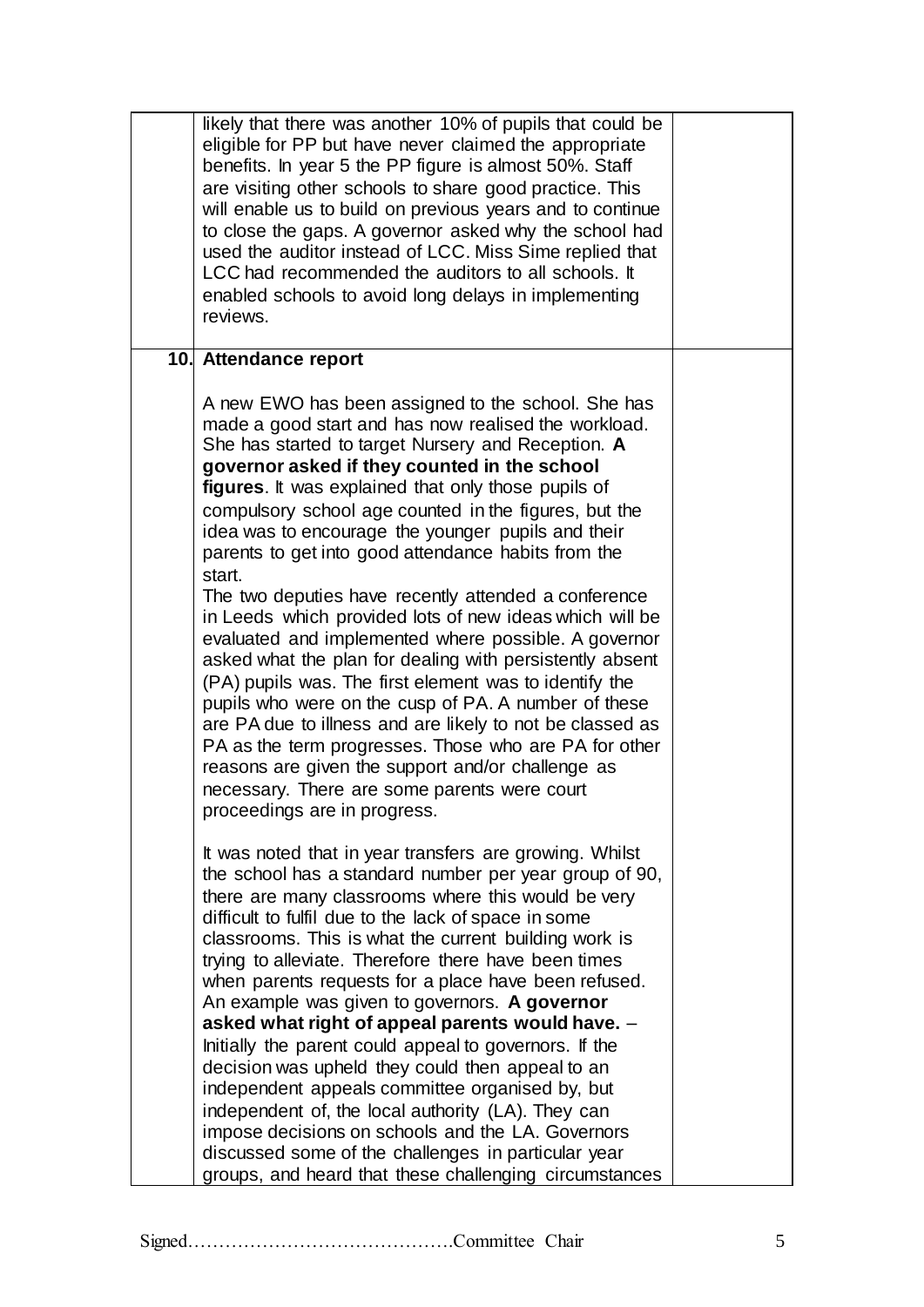| likely that there was another 10% of pupils that could be<br>eligible for PP but have never claimed the appropriate<br>benefits. In year 5 the PP figure is almost 50%. Staff<br>are visiting other schools to share good practice. This<br>will enable us to build on previous years and to continue<br>to close the gaps. A governor asked why the school had<br>used the auditor instead of LCC. Miss Sime replied that<br>LCC had recommended the auditors to all schools. It<br>enabled schools to avoid long delays in implementing<br>reviews.                                                                                                                                                                                                                                                                                                                                                                                                                                                                                                                       |  |
|-----------------------------------------------------------------------------------------------------------------------------------------------------------------------------------------------------------------------------------------------------------------------------------------------------------------------------------------------------------------------------------------------------------------------------------------------------------------------------------------------------------------------------------------------------------------------------------------------------------------------------------------------------------------------------------------------------------------------------------------------------------------------------------------------------------------------------------------------------------------------------------------------------------------------------------------------------------------------------------------------------------------------------------------------------------------------------|--|
| 10. Attendance report                                                                                                                                                                                                                                                                                                                                                                                                                                                                                                                                                                                                                                                                                                                                                                                                                                                                                                                                                                                                                                                       |  |
| A new EWO has been assigned to the school. She has<br>made a good start and has now realised the workload.<br>She has started to target Nursery and Reception. A<br>governor asked if they counted in the school<br>figures. It was explained that only those pupils of<br>compulsory school age counted in the figures, but the<br>idea was to encourage the younger pupils and their<br>parents to get into good attendance habits from the<br>start.<br>The two deputies have recently attended a conference<br>in Leeds which provided lots of new ideas which will be<br>evaluated and implemented where possible. A governor<br>asked what the plan for dealing with persistently absent<br>(PA) pupils was. The first element was to identify the<br>pupils who were on the cusp of PA. A number of these<br>are PA due to illness and are likely to not be classed as<br>PA as the term progresses. Those who are PA for other<br>reasons are given the support and/or challenge as<br>necessary. There are some parents were court<br>proceedings are in progress. |  |
| It was noted that in year transfers are growing. Whilst<br>the school has a standard number per year group of 90,<br>there are many classrooms where this would be very<br>difficult to fulfil due to the lack of space in some<br>classrooms. This is what the current building work is<br>trying to alleviate. Therefore there have been times<br>when parents requests for a place have been refused.<br>An example was given to governors. A governor<br>asked what right of appeal parents would have. -<br>Initially the parent could appeal to governors. If the<br>decision was upheld they could then appeal to an<br>independent appeals committee organised by, but<br>independent of, the local authority (LA). They can<br>impose decisions on schools and the LA. Governors<br>discussed some of the challenges in particular year<br>groups, and heard that these challenging circumstances                                                                                                                                                                  |  |